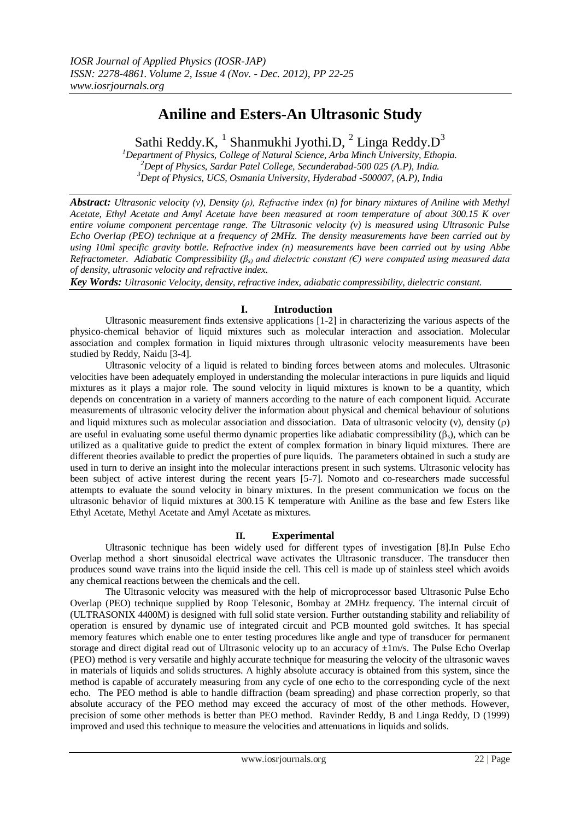# **Aniline and Esters-An Ultrasonic Study**

Sathi Reddy.K,  $^1$  Shanmukhi Jyothi.D,  $^2$  Linga Reddy.D<sup>3</sup>

*<sup>1</sup>Department of Physics, College of Natural Science, Arba Minch University, Ethopia. <sup>2</sup>Dept of Physics, Sardar Patel College, Secunderabad-500 025 (A.P), India. <sup>3</sup>Dept of Physics, UCS, Osmania University, Hyderabad -500007, (A.P), India*

*Abstract: Ultrasonic velocity (v), Density (ρ), Refractive index (n) for binary mixtures of Aniline with Methyl Acetate, Ethyl Acetate and Amyl Acetate have been measured at room temperature of about 300.15 K over entire volume component percentage range. The Ultrasonic velocity (v) is measured using Ultrasonic Pulse Echo Overlap (PEO) technique at a frequency of 2MHz. The density measurements have been carried out by using 10ml specific gravity bottle. Refractive index (n) measurements have been carried out by using Abbe Refractometer. Adiabatic Compressibility (βs) and dielectric constant (Є) were computed using measured data of density, ultrasonic velocity and refractive index.*

*Key Words: Ultrasonic Velocity, density, refractive index, adiabatic compressibility, dielectric constant.*

## **I. Introduction**

Ultrasonic measurement finds extensive applications [1-2] in characterizing the various aspects of the physico-chemical behavior of liquid mixtures such as molecular interaction and association. Molecular association and complex formation in liquid mixtures through ultrasonic velocity measurements have been studied by Reddy, Naidu [3-4].

Ultrasonic velocity of a liquid is related to binding forces between atoms and molecules. Ultrasonic velocities have been adequately employed in understanding the molecular interactions in pure liquids and liquid mixtures as it plays a major role. The sound velocity in liquid mixtures is known to be a quantity, which depends on concentration in a variety of manners according to the nature of each component liquid. Accurate measurements of ultrasonic velocity deliver the information about physical and chemical behaviour of solutions and liquid mixtures such as molecular association and dissociation. Data of ultrasonic velocity (v), density ( $\rho$ ) are useful in evaluating some useful thermo dynamic properties like adiabatic compressibility  $(\beta_s)$ , which can be utilized as a qualitative guide to predict the extent of complex formation in binary liquid mixtures. There are different theories available to predict the properties of pure liquids. The parameters obtained in such a study are used in turn to derive an insight into the molecular interactions present in such systems. Ultrasonic velocity has been subject of active interest during the recent years [5-7]. Nomoto and co-researchers made successful attempts to evaluate the sound velocity in binary mixtures. In the present communication we focus on the ultrasonic behavior of liquid mixtures at 300.15 K temperature with Aniline as the base and few Esters like Ethyl Acetate, Methyl Acetate and Amyl Acetate as mixtures.

### **II. Experimental**

Ultrasonic technique has been widely used for different types of investigation [8].In Pulse Echo Overlap method a short sinusoidal electrical wave activates the Ultrasonic transducer. The transducer then produces sound wave trains into the liquid inside the cell. This cell is made up of stainless steel which avoids any chemical reactions between the chemicals and the cell.

The Ultrasonic velocity was measured with the help of microprocessor based Ultrasonic Pulse Echo Overlap (PEO) technique supplied by Roop Telesonic, Bombay at 2MHz frequency. The internal circuit of (ULTRASONIX 4400M) is designed with full solid state version. Further outstanding stability and reliability of operation is ensured by dynamic use of integrated circuit and PCB mounted gold switches. It has special memory features which enable one to enter testing procedures like angle and type of transducer for permanent storage and direct digital read out of Ultrasonic velocity up to an accuracy of  $\pm 1$ m/s. The Pulse Echo Overlap (PEO) method is very versatile and highly accurate technique for measuring the velocity of the ultrasonic waves in materials of liquids and solids structures. A highly absolute accuracy is obtained from this system, since the method is capable of accurately measuring from any cycle of one echo to the corresponding cycle of the next echo. The PEO method is able to handle diffraction (beam spreading) and phase correction properly, so that absolute accuracy of the PEO method may exceed the accuracy of most of the other methods. However, precision of some other methods is better than PEO method. Ravinder Reddy, B and Linga Reddy, D (1999) improved and used this technique to measure the velocities and attenuations in liquids and solids.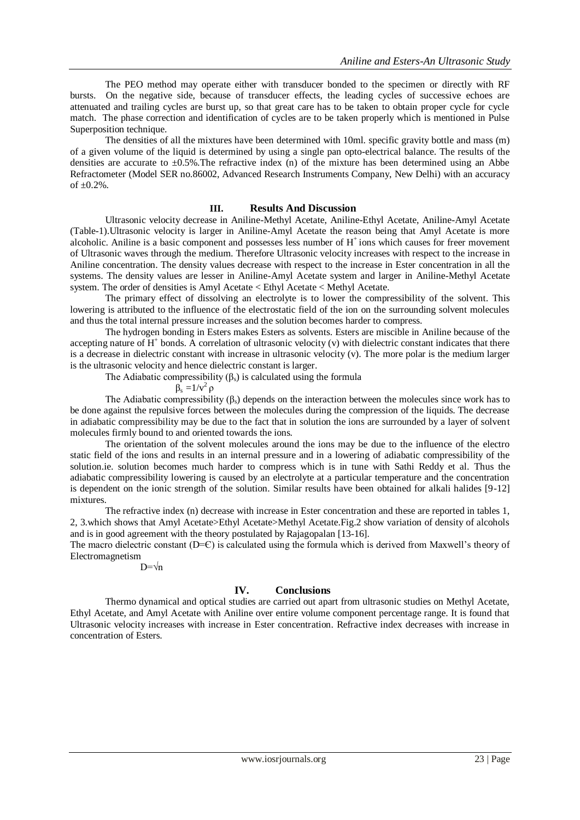The PEO method may operate either with transducer bonded to the specimen or directly with RF bursts. On the negative side, because of transducer effects, the leading cycles of successive echoes are attenuated and trailing cycles are burst up, so that great care has to be taken to obtain proper cycle for cycle match. The phase correction and identification of cycles are to be taken properly which is mentioned in Pulse Superposition technique.

The densities of all the mixtures have been determined with 10ml. specific gravity bottle and mass (m) of a given volume of the liquid is determined by using a single pan opto-electrical balance. The results of the densities are accurate to  $\pm 0.5\%$ . The refractive index (n) of the mixture has been determined using an Abbe Refractometer (Model SER no.86002, Advanced Research Instruments Company, New Delhi) with an accuracy of  $\pm 0.2$ %.

#### **III. Results And Discussion**

Ultrasonic velocity decrease in Aniline-Methyl Acetate, Aniline-Ethyl Acetate, Aniline-Amyl Acetate (Table-1).Ultrasonic velocity is larger in Aniline-Amyl Acetate the reason being that Amyl Acetate is more alcoholic. Aniline is a basic component and possesses less number of H<sup>+</sup> ions which causes for freer movement of Ultrasonic waves through the medium. Therefore Ultrasonic velocity increases with respect to the increase in Aniline concentration. The density values decrease with respect to the increase in Ester concentration in all the systems. The density values are lesser in Aniline-Amyl Acetate system and larger in Aniline-Methyl Acetate system. The order of densities is Amyl Acetate < Ethyl Acetate < Methyl Acetate.

The primary effect of dissolving an electrolyte is to lower the compressibility of the solvent. This lowering is attributed to the influence of the electrostatic field of the ion on the surrounding solvent molecules and thus the total internal pressure increases and the solution becomes harder to compress.

The hydrogen bonding in Esters makes Esters as solvents. Esters are miscible in Aniline because of the accepting nature of  $H^+$  bonds. A correlation of ultrasonic velocity (v) with dielectric constant indicates that there is a decrease in dielectric constant with increase in ultrasonic velocity (v). The more polar is the medium larger is the ultrasonic velocity and hence dielectric constant is larger.

The Adiabatic compressibility  $(\beta_s)$  is calculated using the formula

$$
\beta_s = 1/v^2 \rho
$$

The Adiabatic compressibility  $(\beta_s)$  depends on the interaction between the molecules since work has to be done against the repulsive forces between the molecules during the compression of the liquids. The decrease in adiabatic compressibility may be due to the fact that in solution the ions are surrounded by a layer of solvent molecules firmly bound to and oriented towards the ions.

The orientation of the solvent molecules around the ions may be due to the influence of the electro static field of the ions and results in an internal pressure and in a lowering of adiabatic compressibility of the solution.ie. solution becomes much harder to compress which is in tune with Sathi Reddy et al. Thus the adiabatic compressibility lowering is caused by an electrolyte at a particular temperature and the concentration is dependent on the ionic strength of the solution. Similar results have been obtained for alkali halides [9-12] mixtures.

The refractive index (n) decrease with increase in Ester concentration and these are reported in tables 1, 2, 3.which shows that Amyl Acetate>Ethyl Acetate>Methyl Acetate.Fig.2 show variation of density of alcohols and is in good agreement with the theory postulated by Rajagopalan [13-16].

The macro dielectric constant  $(D=C)$  is calculated using the formula which is derived from Maxwell's theory of Electromagnetism

 $D = \sqrt{n}$ 

#### **IV. Conclusions**

Thermo dynamical and optical studies are carried out apart from ultrasonic studies on Methyl Acetate, Ethyl Acetate, and Amyl Acetate with Aniline over entire volume component percentage range. It is found that Ultrasonic velocity increases with increase in Ester concentration. Refractive index decreases with increase in concentration of Esters.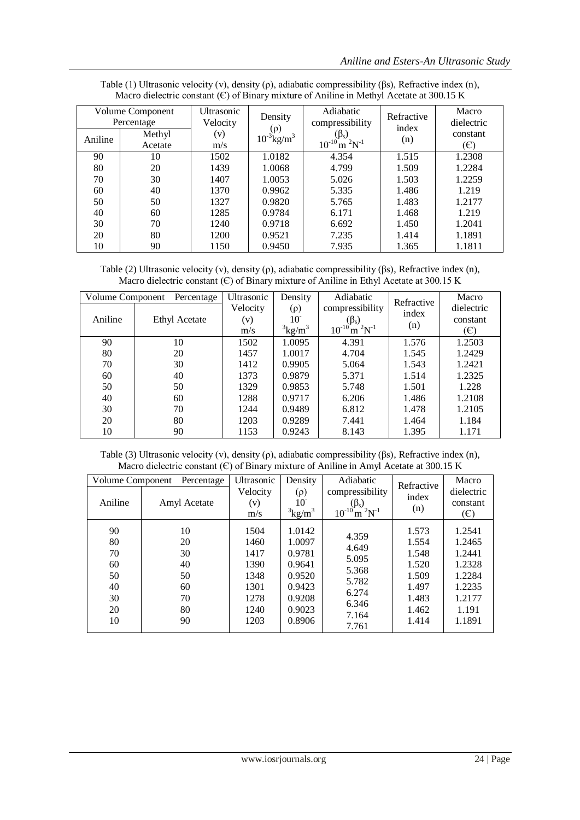| Volume Component<br>Percentage |         | Ultrasonic<br>Velocity | Density                                 | Adiabatic<br>compressibility                             | Refractive<br>index | Macro<br>dielectric |
|--------------------------------|---------|------------------------|-----------------------------------------|----------------------------------------------------------|---------------------|---------------------|
| Aniline                        | Methyl  | (v)                    | $(\rho)$<br>$10^{-3}$ kg/m <sup>3</sup> | $(\beta_s)$<br>$10^{-10}$ m <sup>2</sup> N <sup>-1</sup> | (n)                 | constant            |
|                                | Acetate | m/s                    |                                         |                                                          |                     | (E)                 |
| 90                             | 10      | 1502                   | 1.0182                                  | 4.354                                                    | 1.515               | 1.2308              |
| 80                             | 20      | 1439                   | 1.0068                                  | 4.799                                                    | 1.509               | 1.2284              |
| 70                             | 30      | 1407                   | 1.0053                                  | 5.026                                                    | 1.503               | 1.2259              |
| 60                             | 40      | 1370                   | 0.9962                                  | 5.335                                                    | 1.486               | 1.219               |
| 50                             | 50      | 1327                   | 0.9820                                  | 5.765                                                    | 1.483               | 1.2177              |
| 40                             | 60      | 1285                   | 0.9784                                  | 6.171                                                    | 1.468               | 1.219               |
| 30                             | 70      | 1240                   | 0.9718                                  | 6.692                                                    | 1.450               | 1.2041              |
| 20                             | 80      | 1200                   | 0.9521                                  | 7.235                                                    | 1.414               | 1.1891              |
| 10                             | 90      | 1150                   | 0.9450                                  | 7.935                                                    | 1.365               | 1.1811              |

Table (1) Ultrasonic velocity (v), density (ρ), adiabatic compressibility (βs), Refractive index (n), Macro dielectric constant  $(\epsilon)$  of Binary mixture of Aniline in Methyl Acetate at 300.15 K

Table (2) Ultrasonic velocity (v), density (ρ), adiabatic compressibility (βs), Refractive index (n), Macro dielectric constant (Є) of Binary mixture of Aniline in Ethyl Acetate at 300.15 K

| Volume Component<br>Percentage |               | Ultrasonic | Density   | Adiabatic                           | Refractive   | Macro      |
|--------------------------------|---------------|------------|-----------|-------------------------------------|--------------|------------|
|                                |               | Velocity   | $(\rho)$  | compressibility                     | index<br>(n) | dielectric |
| Aniline                        | Ethyl Acetate | (v)        | $10^{-}$  | $(\beta_{s})$                       |              | constant   |
|                                |               | m/s        | $3kg/m^3$ | $10^{-10}$ m $^{2}$ N <sup>-1</sup> |              | (E)        |
| 90                             | 10            | 1502       | 1.0095    | 4.391                               | 1.576        | 1.2503     |
| 80                             | 20            | 1457       | 1.0017    | 4.704                               | 1.545        | 1.2429     |
| 70                             | 30            | 1412       | 0.9905    | 5.064                               | 1.543        | 1.2421     |
| 60                             | 40            | 1373       | 0.9879    | 5.371                               | 1.514        | 1.2325     |
| 50                             | 50            | 1329       | 0.9853    | 5.748                               | 1.501        | 1.228      |
| 40                             | 60            | 1288       | 0.9717    | 6.206                               | 1.486        | 1.2108     |
| 30                             | 70            | 1244       | 0.9489    | 6.812                               | 1.478        | 1.2105     |
| 20                             | 80            | 1203       | 0.9289    | 7.441                               | 1.464        | 1.184      |
| 10                             | 90            | 1153       | 0.9243    | 8.143                               | 1.395        | 1.171      |

Table (3) Ultrasonic velocity (v), density (ρ), adiabatic compressibility (βs), Refractive index (n), Macro dielectric constant (C) of Binary mixture of Aniline in Amyl Acetate at 300.15 K

| Volume Component<br>Percentage                     |                                                    | Ultrasonic                                                           | Density                                                                                | Adiabatic                                                                     | Refractive                                                                    | Macro                                                                                 |
|----------------------------------------------------|----------------------------------------------------|----------------------------------------------------------------------|----------------------------------------------------------------------------------------|-------------------------------------------------------------------------------|-------------------------------------------------------------------------------|---------------------------------------------------------------------------------------|
| Aniline                                            | Amyl Acetate                                       | Velocity<br>(v)<br>m/s                                               | $(\rho)$<br>10<br>$3kg/m^3$                                                            | compressibility<br>$(\beta_s)$<br>$10^{-10}$ m $^{2}N^{-1}$                   | index<br>(n)                                                                  | dielectric<br>constant<br>(E)                                                         |
| 90<br>80<br>70<br>60<br>50<br>40<br>30<br>20<br>10 | 10<br>20<br>30<br>40<br>50<br>60<br>70<br>80<br>90 | 1504<br>1460<br>1417<br>1390<br>1348<br>1301<br>1278<br>1240<br>1203 | 1.0142<br>1.0097<br>0.9781<br>0.9641<br>0.9520<br>0.9423<br>0.9208<br>0.9023<br>0.8906 | 4.359<br>4.649<br>5.095<br>5.368<br>5.782<br>6.274<br>6.346<br>7.164<br>7.761 | 1.573<br>1.554<br>1.548<br>1.520<br>1.509<br>1.497<br>1.483<br>1.462<br>1.414 | 1.2541<br>1.2465<br>1.2441<br>1.2328<br>1.2284<br>1.2235<br>1.2177<br>1.191<br>1.1891 |